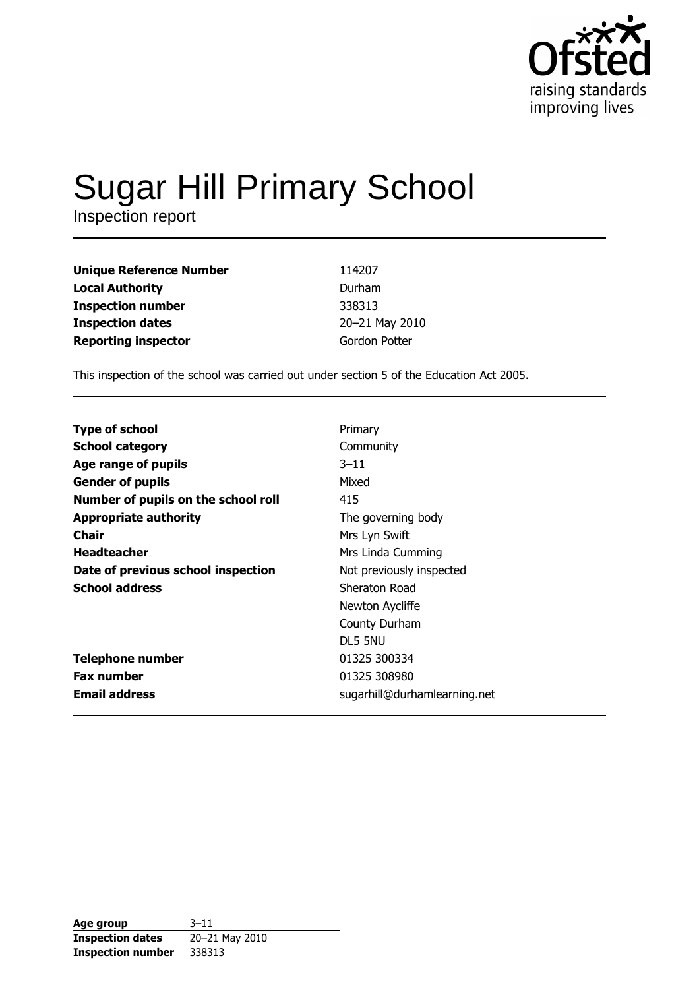

# Sugar Hill Primary School

| <b>Unique Reference Number</b> | 114207         |
|--------------------------------|----------------|
| <b>Local Authority</b>         | Durham         |
| <b>Inspection number</b>       | 338313         |
| <b>Inspection dates</b>        | 20-21 May 2010 |
| <b>Reporting inspector</b>     | Gordon Potter  |

This inspection of the school was carried out under section 5 of the Education Act 2005.

| <b>Type of school</b>               | Primary                      |
|-------------------------------------|------------------------------|
| <b>School category</b>              | Community                    |
| Age range of pupils                 | $3 - 11$                     |
| <b>Gender of pupils</b>             | Mixed                        |
| Number of pupils on the school roll | 415                          |
| <b>Appropriate authority</b>        | The governing body           |
| Chair                               | Mrs Lyn Swift                |
| <b>Headteacher</b>                  | Mrs Linda Cumming            |
| Date of previous school inspection  | Not previously inspected     |
| <b>School address</b>               | Sheraton Road                |
|                                     | Newton Aycliffe              |
|                                     | County Durham                |
|                                     | DL5 5NU                      |
| Telephone number                    | 01325 300334                 |
| <b>Fax number</b>                   | 01325 308980                 |
| <b>Email address</b>                | sugarhill@durhamlearning.net |

| Age group                | $3 - 11$       |
|--------------------------|----------------|
| <b>Inspection dates</b>  | 20-21 May 2010 |
| <b>Inspection number</b> | 338313         |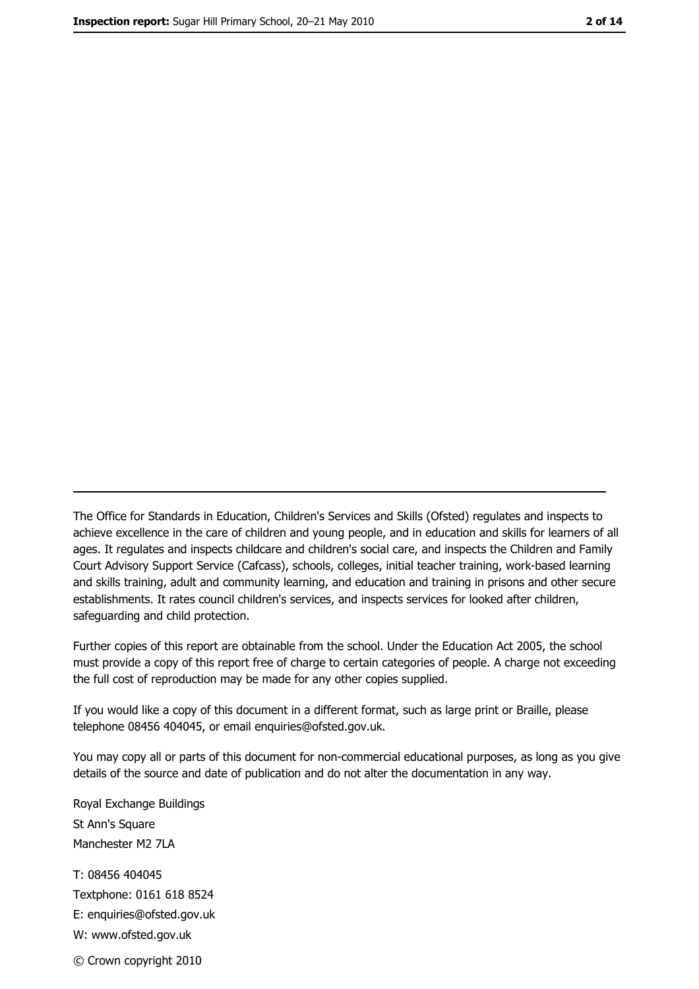The Office for Standards in Education, Children's Services and Skills (Ofsted) regulates and inspects to achieve excellence in the care of children and young people, and in education and skills for learners of all ages. It regulates and inspects childcare and children's social care, and inspects the Children and Family Court Advisory Support Service (Cafcass), schools, colleges, initial teacher training, work-based learning and skills training, adult and community learning, and education and training in prisons and other secure establishments. It rates council children's services, and inspects services for looked after children, safequarding and child protection.

Further copies of this report are obtainable from the school. Under the Education Act 2005, the school must provide a copy of this report free of charge to certain categories of people. A charge not exceeding the full cost of reproduction may be made for any other copies supplied.

If you would like a copy of this document in a different format, such as large print or Braille, please telephone 08456 404045, or email enquiries@ofsted.gov.uk.

You may copy all or parts of this document for non-commercial educational purposes, as long as you give details of the source and date of publication and do not alter the documentation in any way.

Royal Exchange Buildings St Ann's Square Manchester M2 7LA T: 08456 404045 Textphone: 0161 618 8524 E: enquiries@ofsted.gov.uk W: www.ofsted.gov.uk © Crown copyright 2010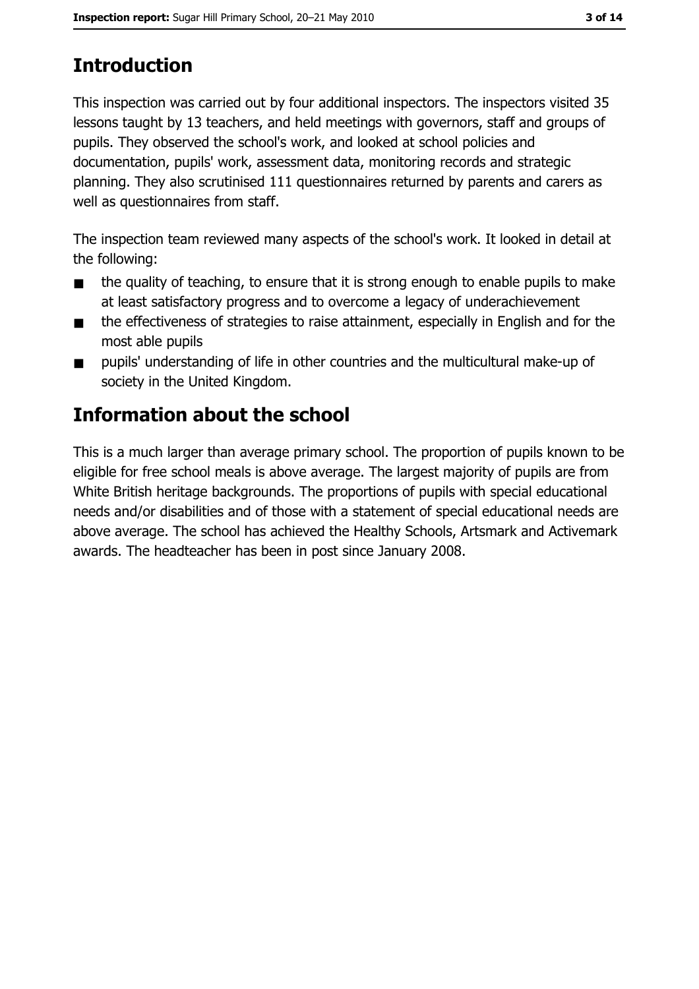# **Introduction**

This inspection was carried out by four additional inspectors. The inspectors visited 35 lessons taught by 13 teachers, and held meetings with governors, staff and groups of pupils. They observed the school's work, and looked at school policies and documentation, pupils' work, assessment data, monitoring records and strategic planning. They also scrutinised 111 questionnaires returned by parents and carers as well as questionnaires from staff.

The inspection team reviewed many aspects of the school's work. It looked in detail at the following:

- the quality of teaching, to ensure that it is strong enough to enable pupils to make  $\blacksquare$ at least satisfactory progress and to overcome a legacy of underachievement
- the effectiveness of strategies to raise attainment, especially in English and for the  $\blacksquare$ most able pupils
- pupils' understanding of life in other countries and the multicultural make-up of  $\blacksquare$ society in the United Kingdom.

# **Information about the school**

This is a much larger than average primary school. The proportion of pupils known to be eligible for free school meals is above average. The largest majority of pupils are from White British heritage backgrounds. The proportions of pupils with special educational needs and/or disabilities and of those with a statement of special educational needs are above average. The school has achieved the Healthy Schools, Artsmark and Activemark awards. The headteacher has been in post since January 2008.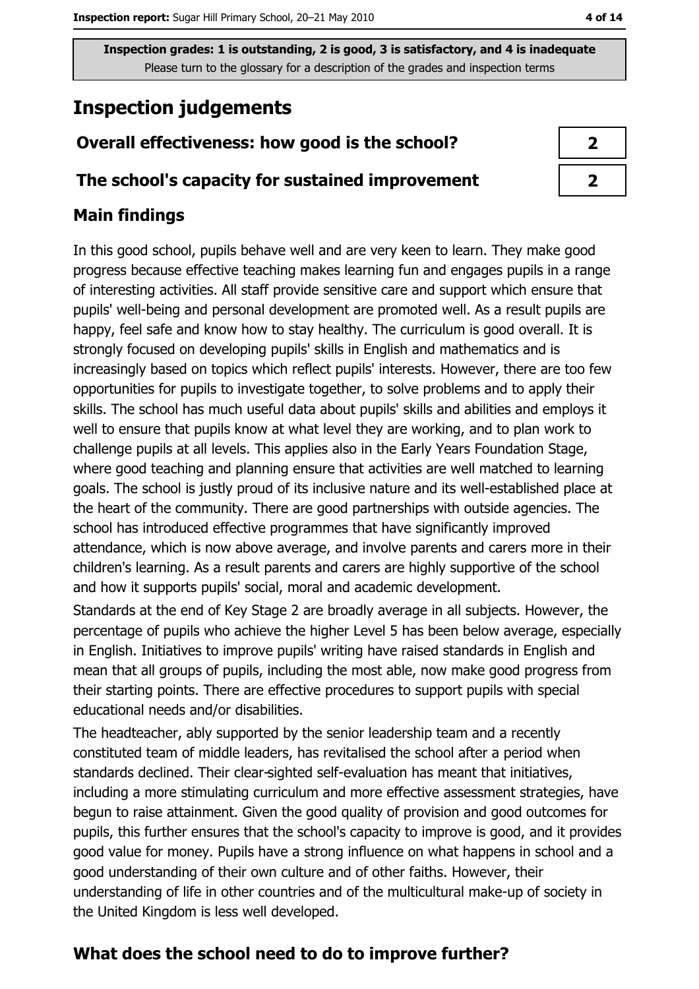# **Inspection judgements**

## Overall effectiveness: how good is the school?

## The school's capacity for sustained improvement

## **Main findings**

In this good school, pupils behave well and are very keen to learn. They make good progress because effective teaching makes learning fun and engages pupils in a range of interesting activities. All staff provide sensitive care and support which ensure that pupils' well-being and personal development are promoted well. As a result pupils are happy, feel safe and know how to stay healthy. The curriculum is good overall. It is strongly focused on developing pupils' skills in English and mathematics and is increasingly based on topics which reflect pupils' interests. However, there are too few opportunities for pupils to investigate together, to solve problems and to apply their skills. The school has much useful data about pupils' skills and abilities and employs it well to ensure that pupils know at what level they are working, and to plan work to challenge pupils at all levels. This applies also in the Early Years Foundation Stage, where good teaching and planning ensure that activities are well matched to learning goals. The school is justly proud of its inclusive nature and its well-established place at the heart of the community. There are good partnerships with outside agencies. The school has introduced effective programmes that have significantly improved attendance, which is now above average, and involve parents and carers more in their children's learning. As a result parents and carers are highly supportive of the school and how it supports pupils' social, moral and academic development.

Standards at the end of Key Stage 2 are broadly average in all subjects. However, the percentage of pupils who achieve the higher Level 5 has been below average, especially in English. Initiatives to improve pupils' writing have raised standards in English and mean that all groups of pupils, including the most able, now make good progress from their starting points. There are effective procedures to support pupils with special educational needs and/or disabilities.

The headteacher, ably supported by the senior leadership team and a recently constituted team of middle leaders, has revitalised the school after a period when standards declined. Their clear-sighted self-evaluation has meant that initiatives, including a more stimulating curriculum and more effective assessment strategies, have begun to raise attainment. Given the good quality of provision and good outcomes for pupils, this further ensures that the school's capacity to improve is good, and it provides good value for money. Pupils have a strong influence on what happens in school and a good understanding of their own culture and of other faiths. However, their understanding of life in other countries and of the multicultural make-up of society in the United Kingdom is less well developed.

# What does the school need to do to improve further?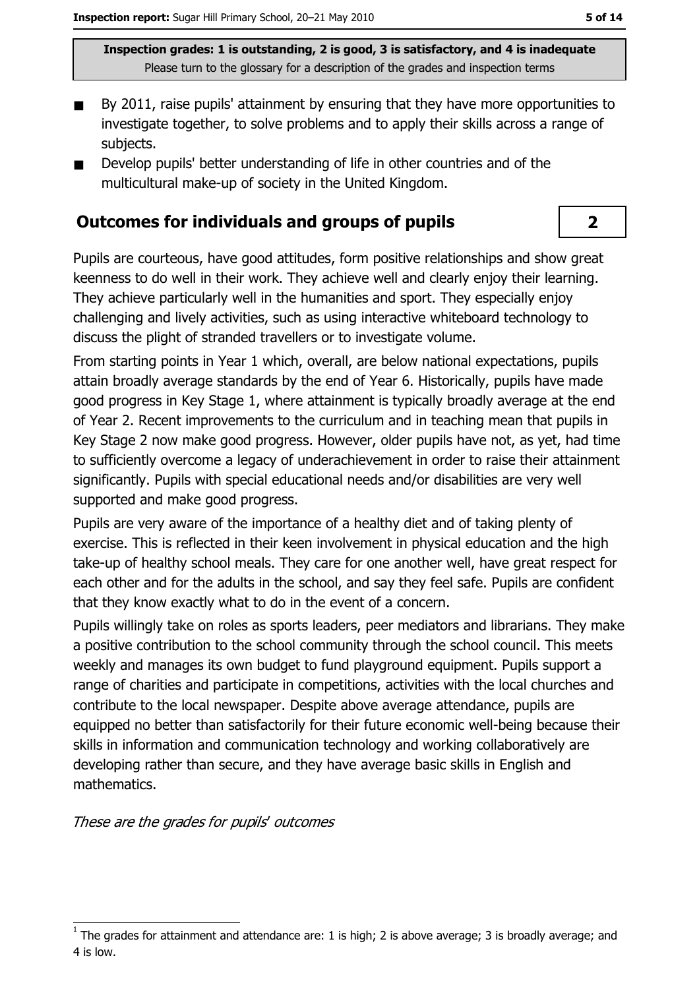- By 2011, raise pupils' attainment by ensuring that they have more opportunities to investigate together, to solve problems and to apply their skills across a range of subjects.
- Develop pupils' better understanding of life in other countries and of the  $\blacksquare$ multicultural make-up of society in the United Kingdom.

## **Outcomes for individuals and groups of pupils**

Pupils are courteous, have good attitudes, form positive relationships and show great keenness to do well in their work. They achieve well and clearly enjoy their learning. They achieve particularly well in the humanities and sport. They especially enjoy challenging and lively activities, such as using interactive whiteboard technology to discuss the plight of stranded travellers or to investigate volume.

From starting points in Year 1 which, overall, are below national expectations, pupils attain broadly average standards by the end of Year 6. Historically, pupils have made good progress in Key Stage 1, where attainment is typically broadly average at the end of Year 2. Recent improvements to the curriculum and in teaching mean that pupils in Key Stage 2 now make good progress. However, older pupils have not, as yet, had time to sufficiently overcome a legacy of underachievement in order to raise their attainment significantly. Pupils with special educational needs and/or disabilities are very well supported and make good progress.

Pupils are very aware of the importance of a healthy diet and of taking plenty of exercise. This is reflected in their keen involvement in physical education and the high take-up of healthy school meals. They care for one another well, have great respect for each other and for the adults in the school, and say they feel safe. Pupils are confident that they know exactly what to do in the event of a concern.

Pupils willingly take on roles as sports leaders, peer mediators and librarians. They make a positive contribution to the school community through the school council. This meets weekly and manages its own budget to fund playground equipment. Pupils support a range of charities and participate in competitions, activities with the local churches and contribute to the local newspaper. Despite above average attendance, pupils are equipped no better than satisfactorily for their future economic well-being because their skills in information and communication technology and working collaboratively are developing rather than secure, and they have average basic skills in English and mathematics.

These are the grades for pupils' outcomes

 $\overline{\mathbf{2}}$ 

The grades for attainment and attendance are: 1 is high; 2 is above average; 3 is broadly average; and 4 is low.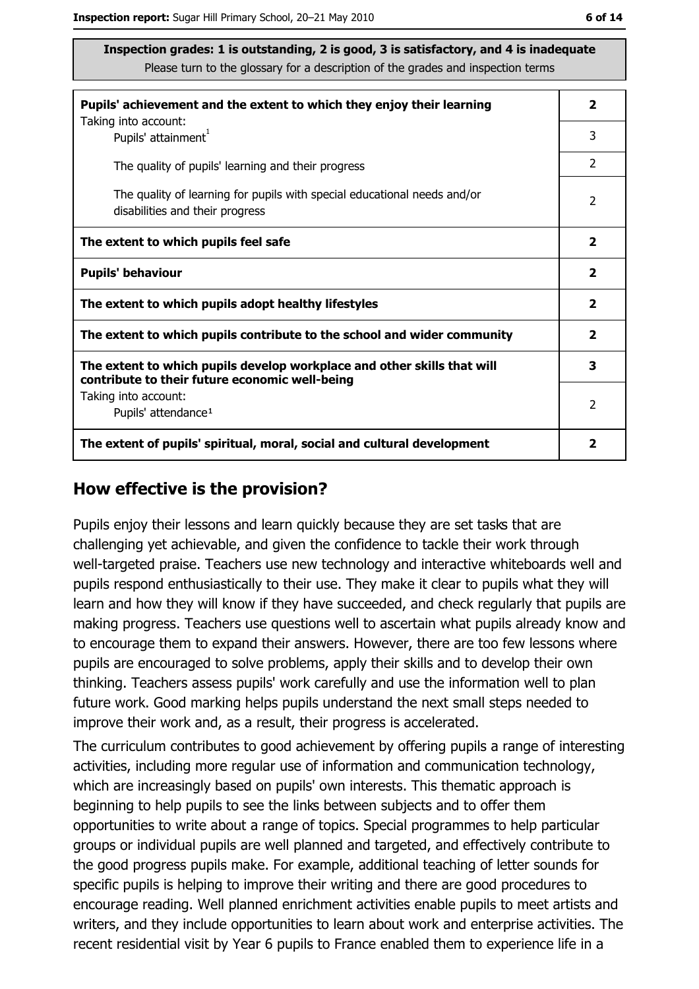| ۰. | ۰. |  |
|----|----|--|
|    |    |  |

| Pupils' achievement and the extent to which they enjoy their learning                                                     |                         |
|---------------------------------------------------------------------------------------------------------------------------|-------------------------|
| Taking into account:<br>Pupils' attainment <sup>1</sup>                                                                   | 3                       |
| The quality of pupils' learning and their progress                                                                        | 2                       |
| The quality of learning for pupils with special educational needs and/or<br>disabilities and their progress               | $\overline{2}$          |
| The extent to which pupils feel safe                                                                                      | $\mathbf{2}$            |
| <b>Pupils' behaviour</b>                                                                                                  | $\overline{\mathbf{2}}$ |
| The extent to which pupils adopt healthy lifestyles                                                                       | 2                       |
| The extent to which pupils contribute to the school and wider community                                                   |                         |
| The extent to which pupils develop workplace and other skills that will<br>contribute to their future economic well-being | 3                       |
| Taking into account:<br>Pupils' attendance <sup>1</sup>                                                                   | $\mathcal{P}$           |
| The extent of pupils' spiritual, moral, social and cultural development                                                   | 2                       |

#### How effective is the provision?

Pupils enjoy their lessons and learn quickly because they are set tasks that are challenging yet achievable, and given the confidence to tackle their work through well-targeted praise. Teachers use new technology and interactive whiteboards well and pupils respond enthusiastically to their use. They make it clear to pupils what they will learn and how they will know if they have succeeded, and check regularly that pupils are making progress. Teachers use guestions well to ascertain what pupils already know and to encourage them to expand their answers. However, there are too few lessons where pupils are encouraged to solve problems, apply their skills and to develop their own thinking. Teachers assess pupils' work carefully and use the information well to plan future work. Good marking helps pupils understand the next small steps needed to improve their work and, as a result, their progress is accelerated.

The curriculum contributes to good achievement by offering pupils a range of interesting activities, including more regular use of information and communication technology, which are increasingly based on pupils' own interests. This thematic approach is beginning to help pupils to see the links between subjects and to offer them opportunities to write about a range of topics. Special programmes to help particular groups or individual pupils are well planned and targeted, and effectively contribute to the good progress pupils make. For example, additional teaching of letter sounds for specific pupils is helping to improve their writing and there are good procedures to encourage reading. Well planned enrichment activities enable pupils to meet artists and writers, and they include opportunities to learn about work and enterprise activities. The recent residential visit by Year 6 pupils to France enabled them to experience life in a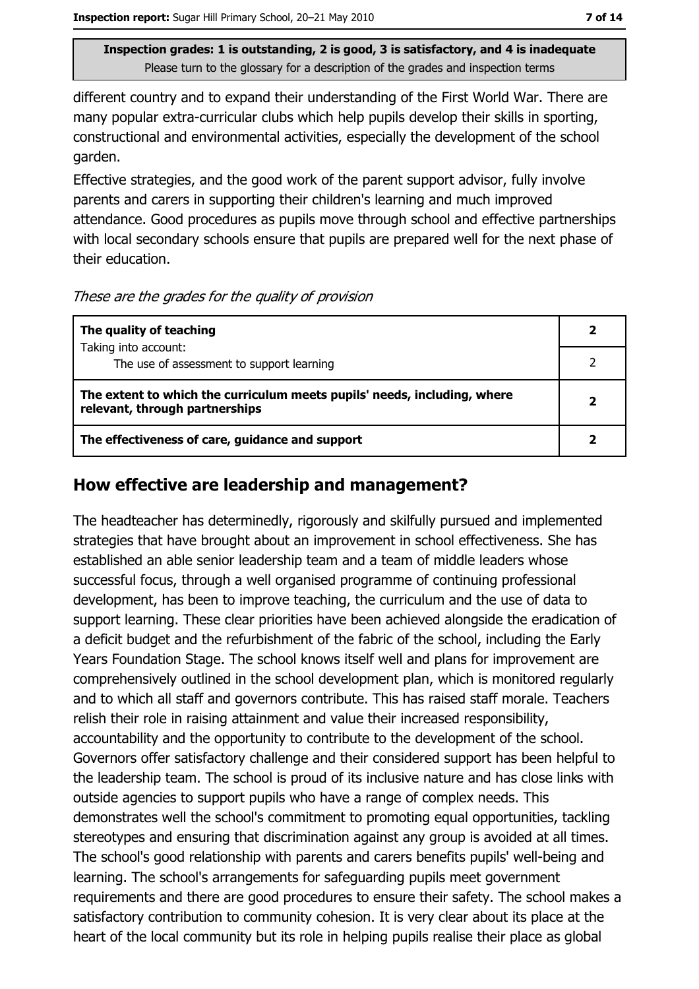different country and to expand their understanding of the First World War. There are many popular extra-curricular clubs which help pupils develop their skills in sporting, constructional and environmental activities, especially the development of the school garden.

Effective strategies, and the good work of the parent support advisor, fully involve parents and carers in supporting their children's learning and much improved attendance. Good procedures as pupils move through school and effective partnerships with local secondary schools ensure that pupils are prepared well for the next phase of their education.

These are the grades for the quality of provision

| The quality of teaching                                                                                    |  |
|------------------------------------------------------------------------------------------------------------|--|
| Taking into account:<br>The use of assessment to support learning                                          |  |
| The extent to which the curriculum meets pupils' needs, including, where<br>relevant, through partnerships |  |
| The effectiveness of care, guidance and support                                                            |  |

#### How effective are leadership and management?

The headteacher has determinedly, rigorously and skilfully pursued and implemented strategies that have brought about an improvement in school effectiveness. She has established an able senior leadership team and a team of middle leaders whose successful focus, through a well organised programme of continuing professional development, has been to improve teaching, the curriculum and the use of data to support learning. These clear priorities have been achieved alongside the eradication of a deficit budget and the refurbishment of the fabric of the school, including the Early Years Foundation Stage. The school knows itself well and plans for improvement are comprehensively outlined in the school development plan, which is monitored regularly and to which all staff and governors contribute. This has raised staff morale. Teachers relish their role in raising attainment and value their increased responsibility, accountability and the opportunity to contribute to the development of the school. Governors offer satisfactory challenge and their considered support has been helpful to the leadership team. The school is proud of its inclusive nature and has close links with outside agencies to support pupils who have a range of complex needs. This demonstrates well the school's commitment to promoting equal opportunities, tackling stereotypes and ensuring that discrimination against any group is avoided at all times. The school's good relationship with parents and carers benefits pupils' well-being and learning. The school's arrangements for safeguarding pupils meet government requirements and there are good procedures to ensure their safety. The school makes a satisfactory contribution to community cohesion. It is very clear about its place at the heart of the local community but its role in helping pupils realise their place as global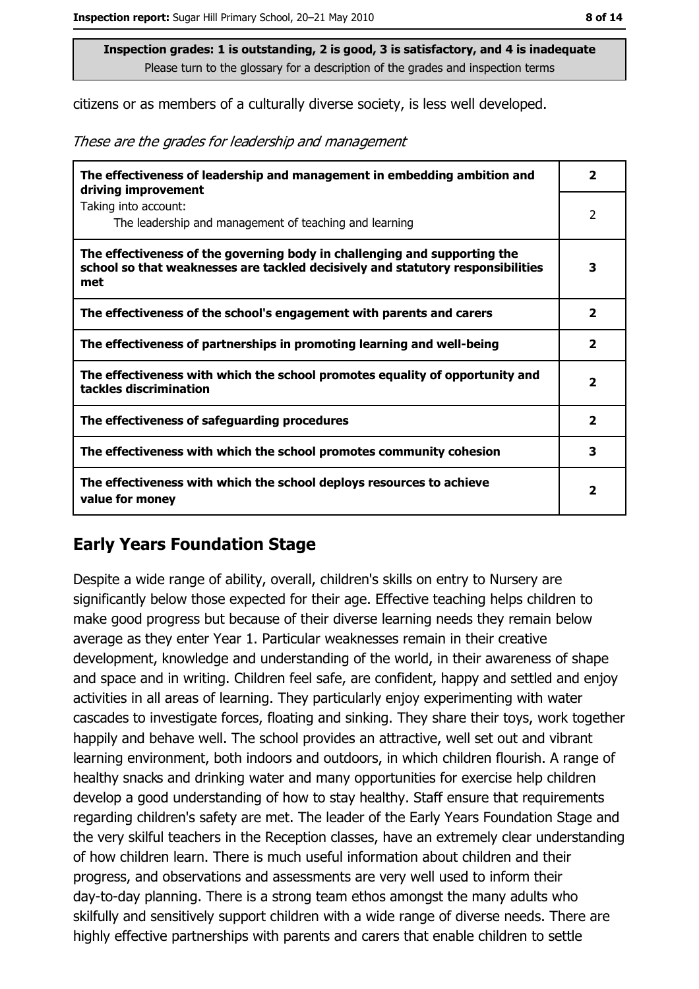citizens or as members of a culturally diverse society, is less well developed.

These are the grades for leadership and management

| The effectiveness of leadership and management in embedding ambition and<br>driving improvement                                                                     |                         |
|---------------------------------------------------------------------------------------------------------------------------------------------------------------------|-------------------------|
| Taking into account:<br>The leadership and management of teaching and learning                                                                                      | 2                       |
| The effectiveness of the governing body in challenging and supporting the<br>school so that weaknesses are tackled decisively and statutory responsibilities<br>met | 3                       |
| The effectiveness of the school's engagement with parents and carers                                                                                                | 2                       |
| The effectiveness of partnerships in promoting learning and well-being                                                                                              | $\overline{\mathbf{2}}$ |
| The effectiveness with which the school promotes equality of opportunity and<br>tackles discrimination                                                              | $\overline{\mathbf{2}}$ |
| The effectiveness of safeguarding procedures                                                                                                                        | $\overline{\mathbf{2}}$ |
| The effectiveness with which the school promotes community cohesion                                                                                                 | 3                       |
| The effectiveness with which the school deploys resources to achieve<br>value for money                                                                             | 2                       |

## **Early Years Foundation Stage**

Despite a wide range of ability, overall, children's skills on entry to Nursery are significantly below those expected for their age. Effective teaching helps children to make good progress but because of their diverse learning needs they remain below average as they enter Year 1. Particular weaknesses remain in their creative development, knowledge and understanding of the world, in their awareness of shape and space and in writing. Children feel safe, are confident, happy and settled and enjoy activities in all areas of learning. They particularly enjoy experimenting with water cascades to investigate forces, floating and sinking. They share their toys, work together happily and behave well. The school provides an attractive, well set out and vibrant learning environment, both indoors and outdoors, in which children flourish. A range of healthy snacks and drinking water and many opportunities for exercise help children develop a good understanding of how to stay healthy. Staff ensure that requirements regarding children's safety are met. The leader of the Early Years Foundation Stage and the very skilful teachers in the Reception classes, have an extremely clear understanding of how children learn. There is much useful information about children and their progress, and observations and assessments are very well used to inform their day-to-day planning. There is a strong team ethos amongst the many adults who skilfully and sensitively support children with a wide range of diverse needs. There are highly effective partnerships with parents and carers that enable children to settle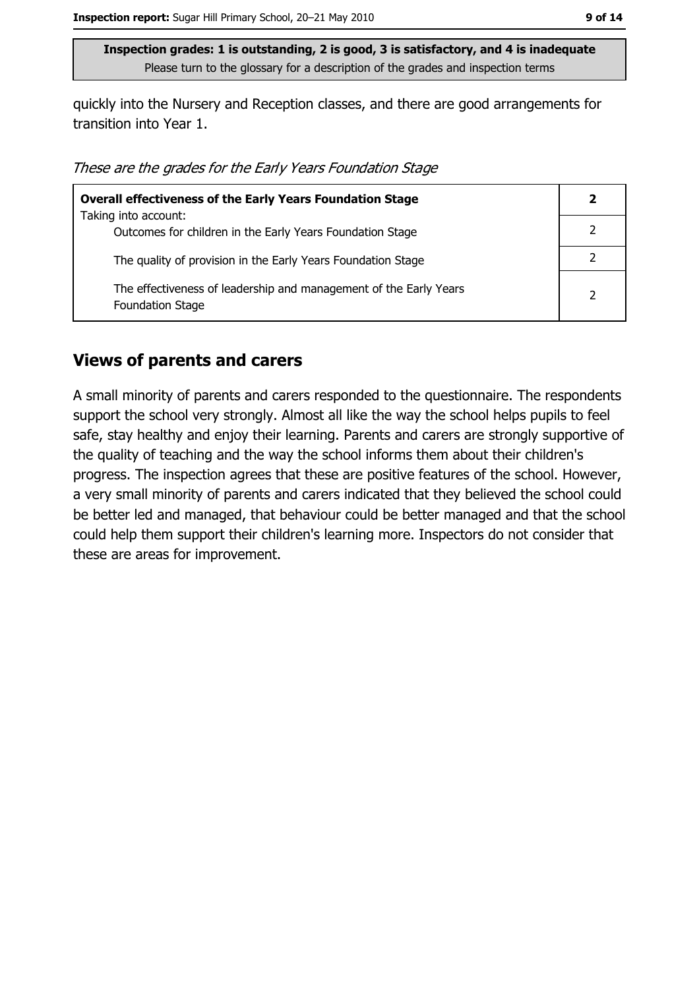quickly into the Nursery and Reception classes, and there are good arrangements for transition into Year 1.

These are the grades for the Early Years Foundation Stage

| <b>Overall effectiveness of the Early Years Foundation Stage</b>                             | 2 |
|----------------------------------------------------------------------------------------------|---|
| Taking into account:                                                                         |   |
| Outcomes for children in the Early Years Foundation Stage                                    |   |
| The quality of provision in the Early Years Foundation Stage                                 |   |
| The effectiveness of leadership and management of the Early Years<br><b>Foundation Stage</b> | 2 |

#### **Views of parents and carers**

A small minority of parents and carers responded to the questionnaire. The respondents support the school very strongly. Almost all like the way the school helps pupils to feel safe, stay healthy and enjoy their learning. Parents and carers are strongly supportive of the quality of teaching and the way the school informs them about their children's progress. The inspection agrees that these are positive features of the school. However, a very small minority of parents and carers indicated that they believed the school could be better led and managed, that behaviour could be better managed and that the school could help them support their children's learning more. Inspectors do not consider that these are areas for improvement.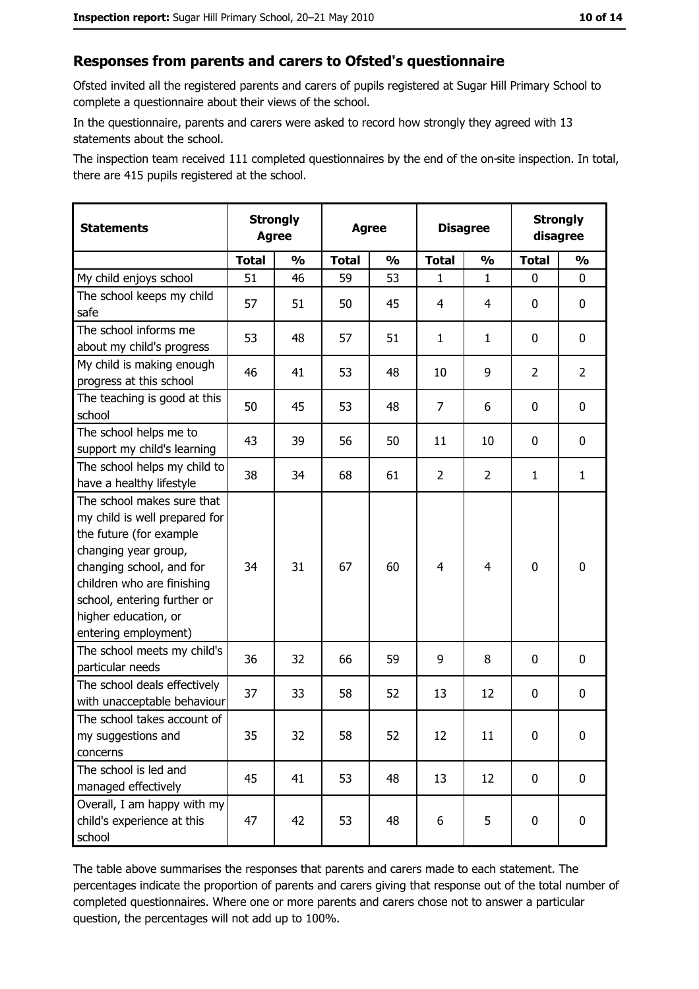#### Responses from parents and carers to Ofsted's questionnaire

Ofsted invited all the registered parents and carers of pupils registered at Sugar Hill Primary School to complete a questionnaire about their views of the school.

In the questionnaire, parents and carers were asked to record how strongly they agreed with 13 statements about the school.

The inspection team received 111 completed questionnaires by the end of the on-site inspection. In total, there are 415 pupils registered at the school.

| <b>Statements</b>                                                                                                                                                                                                                                       | <b>Strongly</b><br><b>Agree</b> |               | <b>Agree</b> |               | <b>Disagree</b> |                | <b>Strongly</b><br>disagree |                |
|---------------------------------------------------------------------------------------------------------------------------------------------------------------------------------------------------------------------------------------------------------|---------------------------------|---------------|--------------|---------------|-----------------|----------------|-----------------------------|----------------|
|                                                                                                                                                                                                                                                         | <b>Total</b>                    | $\frac{0}{0}$ | <b>Total</b> | $\frac{1}{2}$ | <b>Total</b>    | $\frac{1}{2}$  | <b>Total</b>                | $\frac{1}{2}$  |
| My child enjoys school                                                                                                                                                                                                                                  | 51                              | 46            | 59           | 53            | $\mathbf{1}$    | $\mathbf 1$    | $\Omega$                    | 0              |
| The school keeps my child<br>safe                                                                                                                                                                                                                       | 57                              | 51            | 50           | 45            | 4               | 4              | 0                           | 0              |
| The school informs me<br>about my child's progress                                                                                                                                                                                                      | 53                              | 48            | 57           | 51            | $\mathbf{1}$    | $\mathbf{1}$   | 0                           | 0              |
| My child is making enough<br>progress at this school                                                                                                                                                                                                    | 46                              | 41            | 53           | 48            | 10              | 9              | $\overline{2}$              | $\overline{2}$ |
| The teaching is good at this<br>school                                                                                                                                                                                                                  | 50                              | 45            | 53           | 48            | $\overline{7}$  | 6              | 0                           | 0              |
| The school helps me to<br>support my child's learning                                                                                                                                                                                                   | 43                              | 39            | 56           | 50            | 11              | 10             | 0                           | 0              |
| The school helps my child to<br>have a healthy lifestyle                                                                                                                                                                                                | 38                              | 34            | 68           | 61            | $\overline{2}$  | $\overline{2}$ | 1                           | $\mathbf{1}$   |
| The school makes sure that<br>my child is well prepared for<br>the future (for example<br>changing year group,<br>changing school, and for<br>children who are finishing<br>school, entering further or<br>higher education, or<br>entering employment) | 34                              | 31            | 67           | 60            | $\overline{4}$  | 4              | $\mathbf 0$                 | $\mathbf 0$    |
| The school meets my child's<br>particular needs                                                                                                                                                                                                         | 36                              | 32            | 66           | 59            | 9               | 8              | 0                           | 0              |
| The school deals effectively<br>with unacceptable behaviour                                                                                                                                                                                             | 37                              | 33            | 58           | 52            | 13              | 12             | 0                           | $\mathbf 0$    |
| The school takes account of<br>my suggestions and<br>concerns                                                                                                                                                                                           | 35                              | 32            | 58           | 52            | 12              | 11             | 0                           | 0              |
| The school is led and<br>managed effectively                                                                                                                                                                                                            | 45                              | 41            | 53           | 48            | 13              | 12             | $\bf{0}$                    | $\mathbf 0$    |
| Overall, I am happy with my<br>child's experience at this<br>school                                                                                                                                                                                     | 47                              | 42            | 53           | 48            | 6               | 5              | $\mathbf 0$                 | $\mathbf 0$    |

The table above summarises the responses that parents and carers made to each statement. The percentages indicate the proportion of parents and carers giving that response out of the total number of completed questionnaires. Where one or more parents and carers chose not to answer a particular question, the percentages will not add up to 100%.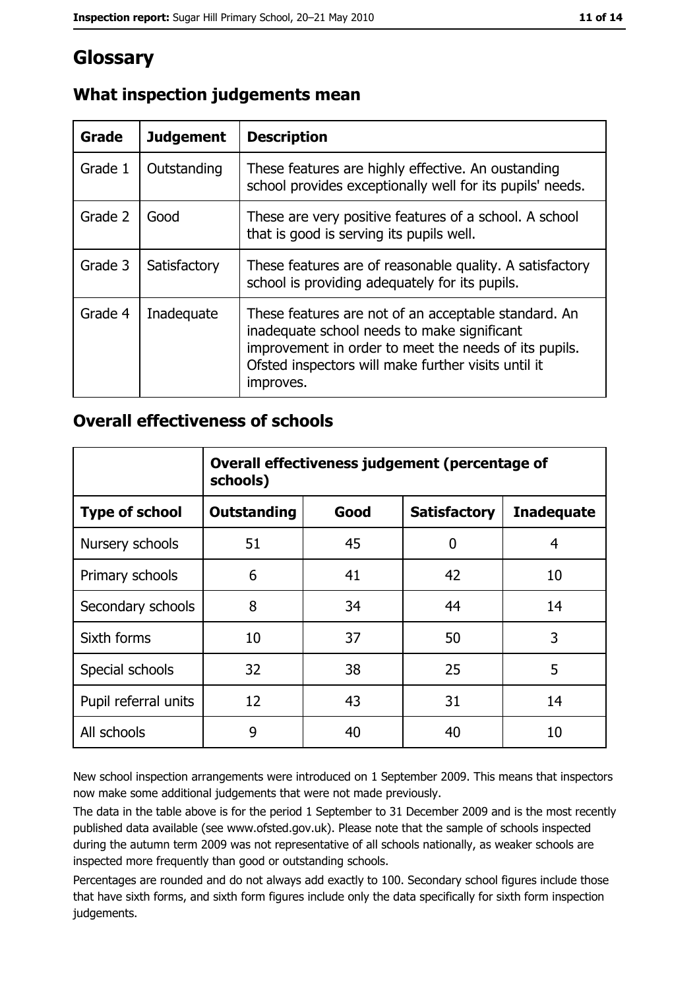# Glossary

| Grade   | <b>Judgement</b> | <b>Description</b>                                                                                                                                                                                                               |
|---------|------------------|----------------------------------------------------------------------------------------------------------------------------------------------------------------------------------------------------------------------------------|
| Grade 1 | Outstanding      | These features are highly effective. An oustanding<br>school provides exceptionally well for its pupils' needs.                                                                                                                  |
| Grade 2 | Good             | These are very positive features of a school. A school<br>that is good is serving its pupils well.                                                                                                                               |
| Grade 3 | Satisfactory     | These features are of reasonable quality. A satisfactory<br>school is providing adequately for its pupils.                                                                                                                       |
| Grade 4 | Inadequate       | These features are not of an acceptable standard. An<br>inadequate school needs to make significant<br>improvement in order to meet the needs of its pupils.<br>Ofsted inspectors will make further visits until it<br>improves. |

# What inspection judgements mean

## **Overall effectiveness of schools**

|                       | Overall effectiveness judgement (percentage of<br>schools) |      |                     |                   |
|-----------------------|------------------------------------------------------------|------|---------------------|-------------------|
| <b>Type of school</b> | <b>Outstanding</b>                                         | Good | <b>Satisfactory</b> | <b>Inadequate</b> |
| Nursery schools       | 51                                                         | 45   | 0                   | 4                 |
| Primary schools       | 6                                                          | 41   | 42                  | 10                |
| Secondary schools     | 8                                                          | 34   | 44                  | 14                |
| Sixth forms           | 10                                                         | 37   | 50                  | 3                 |
| Special schools       | 32                                                         | 38   | 25                  | 5                 |
| Pupil referral units  | 12                                                         | 43   | 31                  | 14                |
| All schools           | 9                                                          | 40   | 40                  | 10                |

New school inspection arrangements were introduced on 1 September 2009. This means that inspectors now make some additional judgements that were not made previously.

The data in the table above is for the period 1 September to 31 December 2009 and is the most recently published data available (see www.ofsted.gov.uk). Please note that the sample of schools inspected during the autumn term 2009 was not representative of all schools nationally, as weaker schools are inspected more frequently than good or outstanding schools.

Percentages are rounded and do not always add exactly to 100. Secondary school figures include those that have sixth forms, and sixth form figures include only the data specifically for sixth form inspection judgements.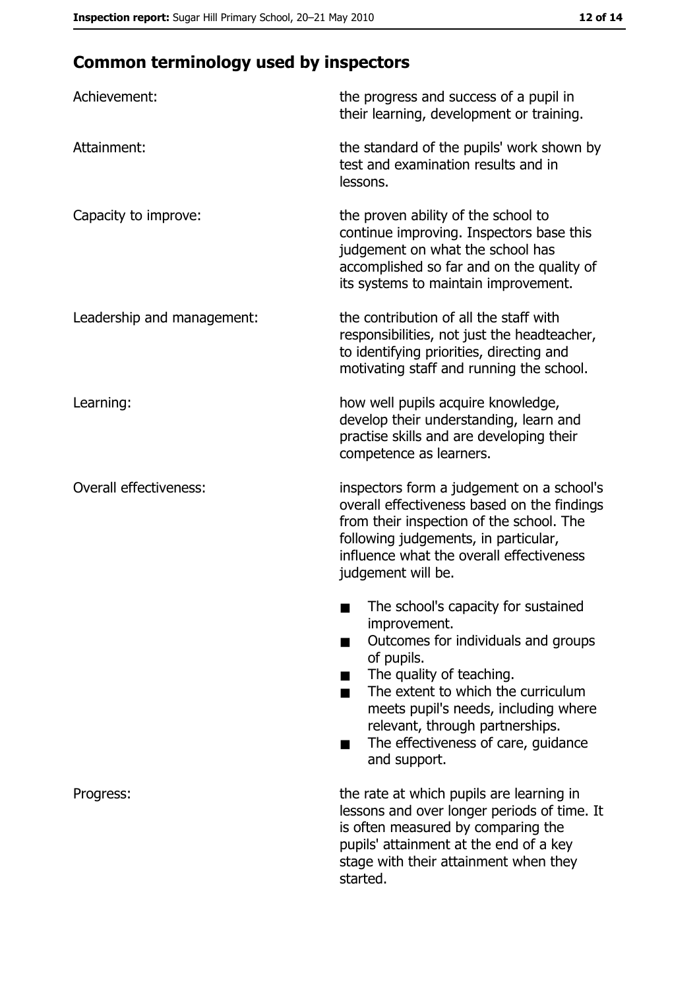# **Common terminology used by inspectors**

| Achievement:                  | the progress and success of a pupil in<br>their learning, development or training.                                                                                                                                                                                                                           |
|-------------------------------|--------------------------------------------------------------------------------------------------------------------------------------------------------------------------------------------------------------------------------------------------------------------------------------------------------------|
| Attainment:                   | the standard of the pupils' work shown by<br>test and examination results and in<br>lessons.                                                                                                                                                                                                                 |
| Capacity to improve:          | the proven ability of the school to<br>continue improving. Inspectors base this<br>judgement on what the school has<br>accomplished so far and on the quality of<br>its systems to maintain improvement.                                                                                                     |
| Leadership and management:    | the contribution of all the staff with<br>responsibilities, not just the headteacher,<br>to identifying priorities, directing and<br>motivating staff and running the school.                                                                                                                                |
| Learning:                     | how well pupils acquire knowledge,<br>develop their understanding, learn and<br>practise skills and are developing their<br>competence as learners.                                                                                                                                                          |
| <b>Overall effectiveness:</b> | inspectors form a judgement on a school's<br>overall effectiveness based on the findings<br>from their inspection of the school. The<br>following judgements, in particular,<br>influence what the overall effectiveness<br>judgement will be.                                                               |
|                               | The school's capacity for sustained<br>improvement.<br>Outcomes for individuals and groups<br>of pupils.<br>The quality of teaching.<br>The extent to which the curriculum<br>meets pupil's needs, including where<br>relevant, through partnerships.<br>The effectiveness of care, guidance<br>and support. |
| Progress:                     | the rate at which pupils are learning in<br>lessons and over longer periods of time. It<br>is often measured by comparing the<br>pupils' attainment at the end of a key<br>stage with their attainment when they<br>started.                                                                                 |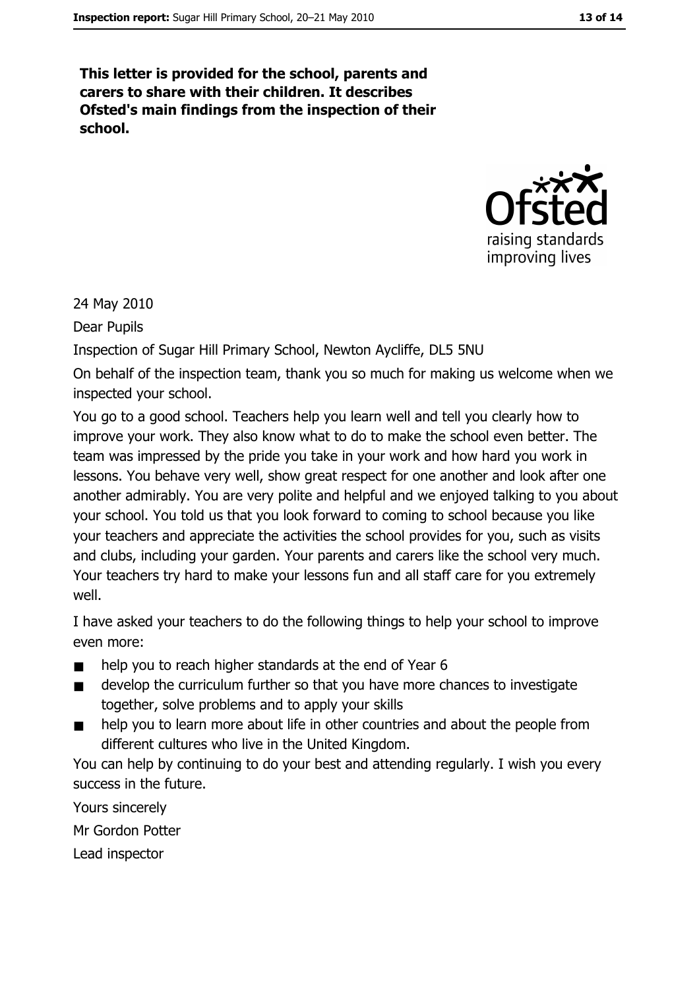This letter is provided for the school, parents and carers to share with their children. It describes Ofsted's main findings from the inspection of their school.



24 May 2010

Dear Pupils

Inspection of Sugar Hill Primary School, Newton Aycliffe, DL5 5NU

On behalf of the inspection team, thank you so much for making us welcome when we inspected your school.

You go to a good school. Teachers help you learn well and tell you clearly how to improve your work. They also know what to do to make the school even better. The team was impressed by the pride you take in your work and how hard you work in lessons. You behave very well, show great respect for one another and look after one another admirably. You are very polite and helpful and we enjoyed talking to you about your school. You told us that you look forward to coming to school because you like your teachers and appreciate the activities the school provides for you, such as visits and clubs, including your garden. Your parents and carers like the school very much. Your teachers try hard to make your lessons fun and all staff care for you extremely well.

I have asked your teachers to do the following things to help your school to improve even more:

- help you to reach higher standards at the end of Year 6  $\blacksquare$
- develop the curriculum further so that you have more chances to investigate  $\blacksquare$ together, solve problems and to apply your skills
- help you to learn more about life in other countries and about the people from  $\blacksquare$ different cultures who live in the United Kingdom.

You can help by continuing to do your best and attending regularly. I wish you every success in the future.

Yours sincerely Mr Gordon Potter Lead inspector